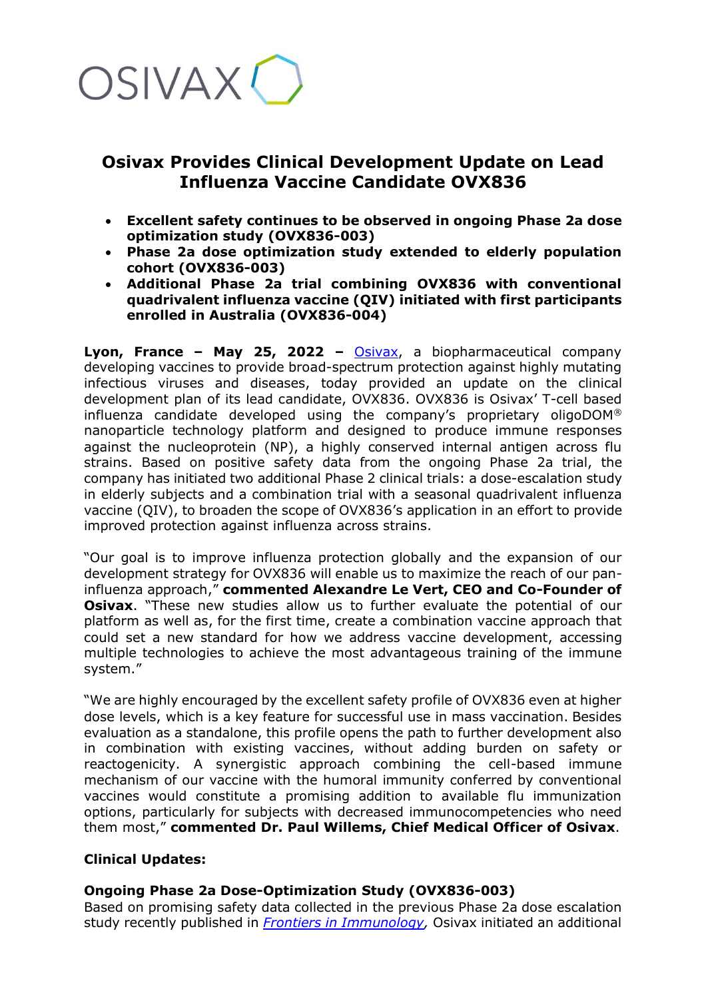

# **Osivax Provides Clinical Development Update on Lead Influenza Vaccine Candidate OVX836**

- **Excellent safety continues to be observed in ongoing Phase 2a dose optimization study (OVX836-003)**
- **Phase 2a dose optimization study extended to elderly population cohort (OVX836-003)**
- **Additional Phase 2a trial combining OVX836 with conventional quadrivalent influenza vaccine (QIV) initiated with first participants enrolled in Australia (OVX836-004)**

**Lyon, France – May 25, 2022 –** [Osivax,](http://www.osivax.com/) a biopharmaceutical company developing vaccines to provide broad-spectrum protection against highly mutating infectious viruses and diseases, today provided an update on the clinical development plan of its lead candidate, OVX836. OVX836 is Osivax' T-cell based influenza candidate developed using the company's proprietary oligoDOM® nanoparticle technology platform and designed to produce immune responses against the nucleoprotein (NP), a highly conserved internal antigen across flu strains. Based on positive safety data from the ongoing Phase 2a trial, the company has initiated two additional Phase 2 clinical trials: a dose-escalation study in elderly subjects and a combination trial with a seasonal quadrivalent influenza vaccine (QIV), to broaden the scope of OVX836's application in an effort to provide improved protection against influenza across strains.

"Our goal is to improve influenza protection globally and the expansion of our development strategy for OVX836 will enable us to maximize the reach of our paninfluenza approach," **commented Alexandre Le Vert, CEO and Co-Founder of Osivax**. "These new studies allow us to further evaluate the potential of our platform as well as, for the first time, create a combination vaccine approach that could set a new standard for how we address vaccine development, accessing multiple technologies to achieve the most advantageous training of the immune system."

"We are highly encouraged by the excellent safety profile of OVX836 even at higher dose levels, which is a key feature for successful use in mass vaccination. Besides evaluation as a standalone, this profile opens the path to further development also in combination with existing vaccines, without adding burden on safety or reactogenicity. A synergistic approach combining the cell-based immune mechanism of our vaccine with the humoral immunity conferred by conventional vaccines would constitute a promising addition to available flu immunization options, particularly for subjects with decreased immunocompetencies who need them most," **commented Dr. Paul Willems, Chief Medical Officer of Osivax**.

## **Clinical Updates:**

## **Ongoing Phase 2a Dose-Optimization Study (OVX836-003)**

Based on promising safety data collected in the previous Phase 2a dose escalation study recently published in *[Frontiers in Immunology,](https://osivax.com/osivax-announces-publication-of-phase-2a-trial-results-for-influenza-vaccine-candidate-ovx836-in-frontiers-in-immunology/)* Osivax initiated an additional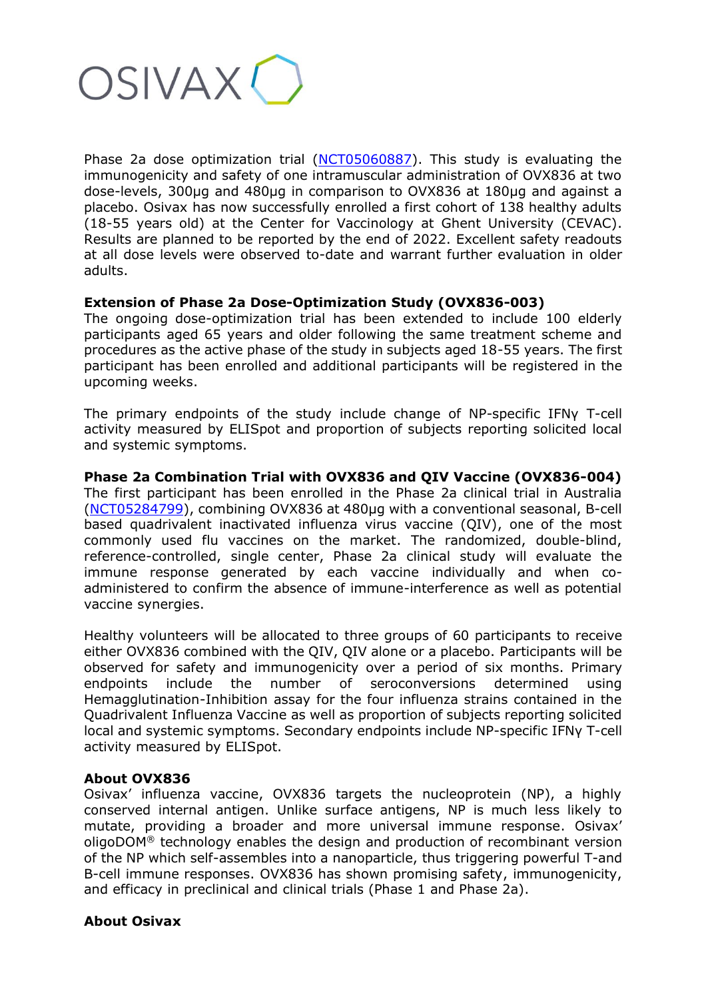

Phase 2a dose optimization trial [\(NCT05060887\)](https://clinicaltrials.gov/ct2/show/NCT05060887). This study is evaluating the immunogenicity and safety of one intramuscular administration of OVX836 at two dose-levels, 300μg and 480μg in comparison to OVX836 at 180μg and against a placebo. Osivax has now successfully enrolled a first cohort of 138 healthy adults (18-55 years old) at the Center for Vaccinology at Ghent University (CEVAC). Results are planned to be reported by the end of 2022. Excellent safety readouts at all dose levels were observed to-date and warrant further evaluation in older adults.

### **Extension of Phase 2a Dose-Optimization Study (OVX836-003)**

The ongoing dose-optimization trial has been extended to include 100 elderly participants aged 65 years and older following the same treatment scheme and procedures as the active phase of the study in subjects aged 18-55 years. The first participant has been enrolled and additional participants will be registered in the upcoming weeks.

The primary endpoints of the study include change of NP-specific IFNy T-cell activity measured by ELISpot and proportion of subjects reporting solicited local and systemic symptoms.

#### **Phase 2a Combination Trial with OVX836 and QIV Vaccine (OVX836-004)** The first participant has been enrolled in the Phase 2a clinical trial in Australia

[\(NCT05284799\)](https://clinicaltrials.gov/ct2/show/NCT05284799?term=osivax&draw=2&rank=2), combining OVX836 at 480μg with a conventional seasonal, B-cell based quadrivalent inactivated influenza virus vaccine (QIV), one of the most commonly used flu vaccines on the market. The randomized, double-blind, reference-controlled, single center, Phase 2a clinical study will evaluate the immune response generated by each vaccine individually and when coadministered to confirm the absence of immune-interference as well as potential vaccine synergies.

Healthy volunteers will be allocated to three groups of 60 participants to receive either OVX836 combined with the QIV, QIV alone or a placebo. Participants will be observed for safety and immunogenicity over a period of six months. Primary endpoints include the number of seroconversions determined using Hemagglutination-Inhibition assay for the four influenza strains contained in the Quadrivalent Influenza Vaccine as well as proportion of subjects reporting solicited local and systemic symptoms. Secondary endpoints include NP-specific IFNγ T-cell activity measured by ELISpot.

### **About OVX836**

Osivax' influenza vaccine, OVX836 targets the nucleoprotein (NP), a highly conserved internal antigen. Unlike surface antigens, NP is much less likely to mutate, providing a broader and more universal immune response. Osivax' oligoDOM® technology enables the design and production of recombinant version of the NP which self-assembles into a nanoparticle, thus triggering powerful T-and B-cell immune responses. OVX836 has shown promising safety, immunogenicity, and efficacy in preclinical and clinical trials (Phase 1 and Phase 2a).

### **About Osivax**